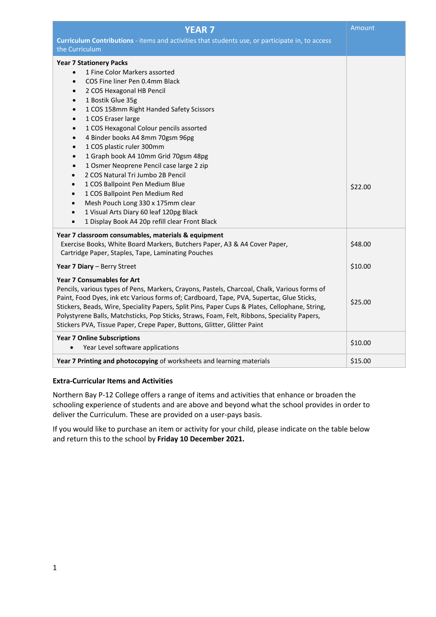| <b>YEAR 7</b>                                                                                                                                                                                                                                                                                                                                                                                                                                                                                                                                                                                                                                                                                                                                                                                                                                           | Amount  |
|---------------------------------------------------------------------------------------------------------------------------------------------------------------------------------------------------------------------------------------------------------------------------------------------------------------------------------------------------------------------------------------------------------------------------------------------------------------------------------------------------------------------------------------------------------------------------------------------------------------------------------------------------------------------------------------------------------------------------------------------------------------------------------------------------------------------------------------------------------|---------|
| Curriculum Contributions - items and activities that students use, or participate in, to access<br>the Curriculum                                                                                                                                                                                                                                                                                                                                                                                                                                                                                                                                                                                                                                                                                                                                       |         |
| <b>Year 7 Stationery Packs</b><br>1 Fine Color Markers assorted<br>$\bullet$<br>COS Fine liner Pen 0.4mm Black<br>$\bullet$<br>2 COS Hexagonal HB Pencil<br>$\bullet$<br>1 Bostik Glue 35g<br>$\bullet$<br>1 COS 158mm Right Handed Safety Scissors<br>$\bullet$<br>1 COS Eraser large<br>$\bullet$<br>1 COS Hexagonal Colour pencils assorted<br>$\bullet$<br>4 Binder books A4 8mm 70gsm 96pg<br>$\bullet$<br>1 COS plastic ruler 300mm<br>$\bullet$<br>1 Graph book A4 10mm Grid 70gsm 48pg<br>$\bullet$<br>1 Osmer Neoprene Pencil case large 2 zip<br>$\bullet$<br>2 COS Natural Tri Jumbo 2B Pencil<br>$\bullet$<br>1 COS Ballpoint Pen Medium Blue<br>1 COS Ballpoint Pen Medium Red<br>Mesh Pouch Long 330 x 175mm clear<br>$\bullet$<br>1 Visual Arts Diary 60 leaf 120pg Black<br>$\bullet$<br>1 Display Book A4 20p refill clear Front Black | \$22.00 |
| Year 7 classroom consumables, materials & equipment<br>Exercise Books, White Board Markers, Butchers Paper, A3 & A4 Cover Paper,<br>Cartridge Paper, Staples, Tape, Laminating Pouches                                                                                                                                                                                                                                                                                                                                                                                                                                                                                                                                                                                                                                                                  | \$48.00 |
| Year 7 Diary - Berry Street                                                                                                                                                                                                                                                                                                                                                                                                                                                                                                                                                                                                                                                                                                                                                                                                                             | \$10.00 |
| <b>Year 7 Consumables for Art</b><br>Pencils, various types of Pens, Markers, Crayons, Pastels, Charcoal, Chalk, Various forms of<br>Paint, Food Dyes, ink etc Various forms of; Cardboard, Tape, PVA, Supertac, Glue Sticks,<br>Stickers, Beads, Wire, Speciality Papers, Split Pins, Paper Cups & Plates, Cellophane, String,<br>Polystyrene Balls, Matchsticks, Pop Sticks, Straws, Foam, Felt, Ribbons, Speciality Papers,<br>Stickers PVA, Tissue Paper, Crepe Paper, Buttons, Glitter, Glitter Paint                                                                                                                                                                                                                                                                                                                                              | \$25.00 |
| <b>Year 7 Online Subscriptions</b><br>Year Level software applications                                                                                                                                                                                                                                                                                                                                                                                                                                                                                                                                                                                                                                                                                                                                                                                  | \$10.00 |
| Year 7 Printing and photocopying of worksheets and learning materials                                                                                                                                                                                                                                                                                                                                                                                                                                                                                                                                                                                                                                                                                                                                                                                   | \$15.00 |

## **Extra-Curricular Items and Activities**

Northern Bay P-12 College offers a range of items and activities that enhance or broaden the schooling experience of students and are above and beyond what the school provides in order to deliver the Curriculum. These are provided on a user-pays basis.

If you would like to purchase an item or activity for your child, please indicate on the table below and return this to the school by **Friday 10 December 2021.**